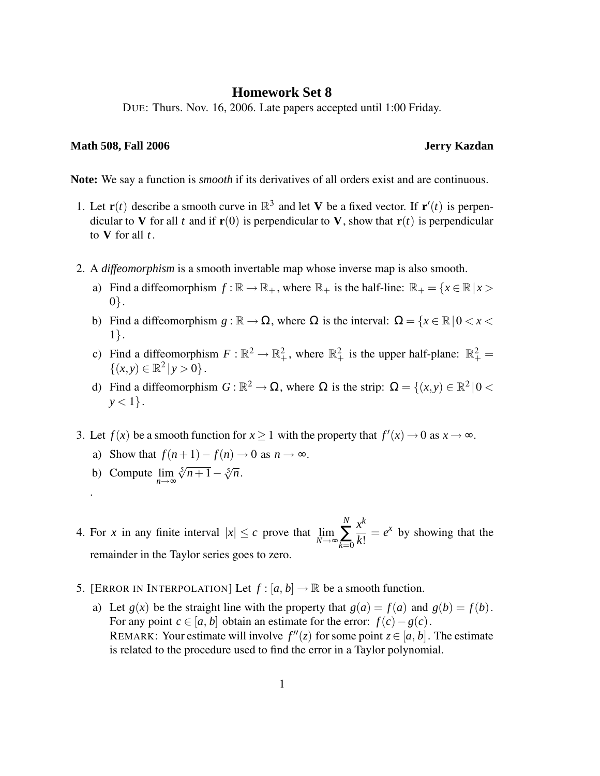## **Homework Set 8**

DUE: Thurs. Nov. 16, 2006. Late papers accepted until 1:00 Friday.

## **Math 508, Fall 2006 Jerry Kazdan**

**Note:** We say a function is *smooth* if its derivatives of all orders exist and are continuous.

- 1. Let  $\mathbf{r}(t)$  describe a smooth curve in  $\mathbb{R}^3$  and let **V** be a fixed vector. If  $\mathbf{r}'(t)$  is perpendicular to **V** for all *t* and if  $\mathbf{r}(0)$  is perpendicular to **V**, show that  $\mathbf{r}(t)$  is perpendicular to **V** for all *t* .
- 2. A *diffeomorphism* is a smooth invertable map whose inverse map is also smooth.
	- a) Find a diffeomorphism  $f : \mathbb{R} \to \mathbb{R}_+$ , where  $\mathbb{R}_+$  is the half-line:  $\mathbb{R}_+ = \{x \in \mathbb{R} \mid x >$ 0}.
	- b) Find a diffeomorphism  $g : \mathbb{R} \to \Omega$ , where  $\Omega$  is the interval:  $\Omega = \{x \in \mathbb{R} \mid 0 < x < \Omega\}$ 1}.
	- c) Find a diffeomorphism  $F : \mathbb{R}^2 \to \mathbb{R}^2_+$ , where  $\mathbb{R}^2_+$  is the upper half-plane:  $\mathbb{R}^2_+$  $\{(x, y) \in \mathbb{R}^2 \mid y > 0\}.$
	- d) Find a diffeomorphism  $G : \mathbb{R}^2 \to \Omega$ , where  $\Omega$  is the strip:  $\Omega = \{(x, y) \in \mathbb{R}^2 \mid 0 \leq y \leq 1\}$  $y < 1$ .
- 3. Let  $f(x)$  be a smooth function for  $x \ge 1$  with the property that  $f'(x) \to 0$  as  $x \to \infty$ .
	- a) Show that  $f(n+1)-f(n) \to 0$  as  $n \to \infty$ .
	- b) Compute lim *n*→∞  $\sqrt[5]{n+1} - \sqrt[5]{n}$ .

.

- 4. For *x* in any finite interval  $|x| \leq c$  prove that  $\lim_{N \to \infty}$ *N* ∑ *k*=0 *x k*  $\frac{x}{k!} = e^x$  by showing that the remainder in the Taylor series goes to zero.
- 5. [ERROR IN INTERPOLATION] Let  $f : [a, b] \to \mathbb{R}$  be a smooth function.
	- a) Let  $g(x)$  be the straight line with the property that  $g(a) = f(a)$  and  $g(b) = f(b)$ . For any point  $c \in [a, b]$  obtain an estimate for the error:  $f(c) - g(c)$ . REMARK: Your estimate will involve  $f''(z)$  for some point  $z \in [a, b]$ . The estimate is related to the procedure used to find the error in a Taylor polynomial.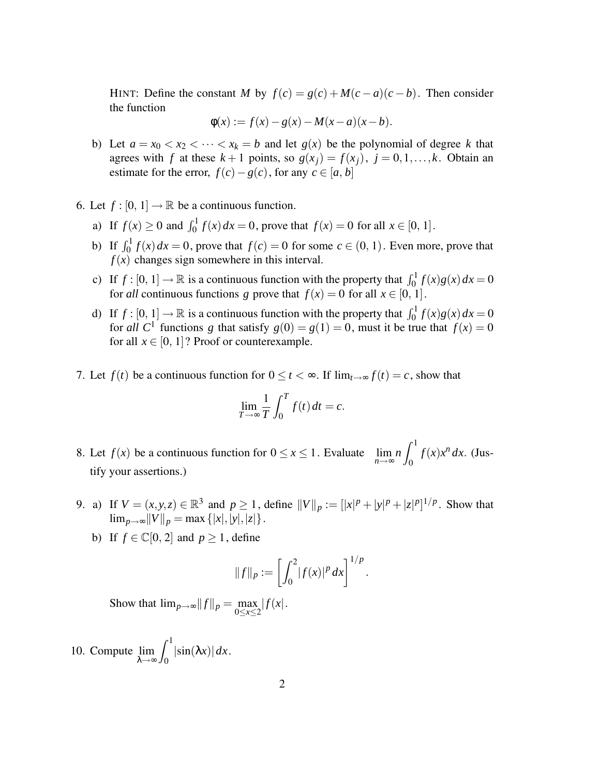HINT: Define the constant *M* by  $f(c) = g(c) + M(c - a)(c - b)$ . Then consider the function

$$
\Phi(x) := f(x) - g(x) - M(x - a)(x - b).
$$

- b) Let  $a = x_0 < x_2 < \cdots < x_k = b$  and let  $g(x)$  be the polynomial of degree k that agrees with *f* at these  $k+1$  points, so  $g(x_i) = f(x_i)$ ,  $j = 0, 1, \ldots, k$ . Obtain an estimate for the error,  $f(c) - g(c)$ , for any  $c \in [a, b]$
- 6. Let  $f : [0, 1] \rightarrow \mathbb{R}$  be a continuous function.
	- a) If  $f(x) \ge 0$  and  $\int_0^1 f(x) dx = 0$ , prove that  $f(x) = 0$  for all  $x \in [0, 1]$ .
	- b) If  $\int_0^1 f(x) dx = 0$ , prove that  $f(c) = 0$  for some  $c \in (0, 1)$ . Even more, prove that  $f(x)$  changes sign somewhere in this interval.
	- c) If  $f : [0, 1] \rightarrow \mathbb{R}$  is a continuous function with the property that  $\int_0^1 f(x)g(x) dx = 0$ for *all* continuous functions *g* prove that  $f(x) = 0$  for all  $x \in [0, 1]$ .
	- d) If  $f : [0, 1] \rightarrow \mathbb{R}$  is a continuous function with the property that  $\int_0^1 f(x)g(x) dx = 0$ for *all* C<sup>1</sup> functions *g* that satisfy  $g(0) = g(1) = 0$ , must it be true that  $f(x) = 0$ for all  $x \in [0, 1]$ ? Proof or counterexample.
- 7. Let  $f(t)$  be a continuous function for  $0 \le t < \infty$ . If  $\lim_{t \to \infty} f(t) = c$ , show that

$$
\lim_{T \to \infty} \frac{1}{T} \int_0^T f(t) \, dt = c.
$$

- 8. Let  $f(x)$  be a continuous function for  $0 \le x \le 1$ . Evaluate  $\lim_{n \to \infty}$  $n \int_0^1$ 0  $f(x)x^n dx$ . (Justify your assertions.)
- 9. a) If  $V = (x, y, z) \in \mathbb{R}^3$  and  $p \ge 1$ , define  $||V||_p := [||x|^p + |y|^p + |z|^p]^{1/p}$ . Show that  $\lim_{p\to\infty}$   $||V||_p = \max\{|x|, |y|, |z|\}.$ 
	- b) If  $f \in \mathbb{C}[0, 2]$  and  $p \ge 1$ , define

$$
||f||_p := \left[\int_0^2 |f(x)|^p dx\right]^{1/p}
$$

.

Show that  $\lim_{p\to\infty} ||f||_p = \max_{0\leq x\leq 2} |f(x)|$ .

10. Compute lim λ→∞  $\int_0^1$  $\int_0^{\pi} |\sin(\lambda x)| dx$ .